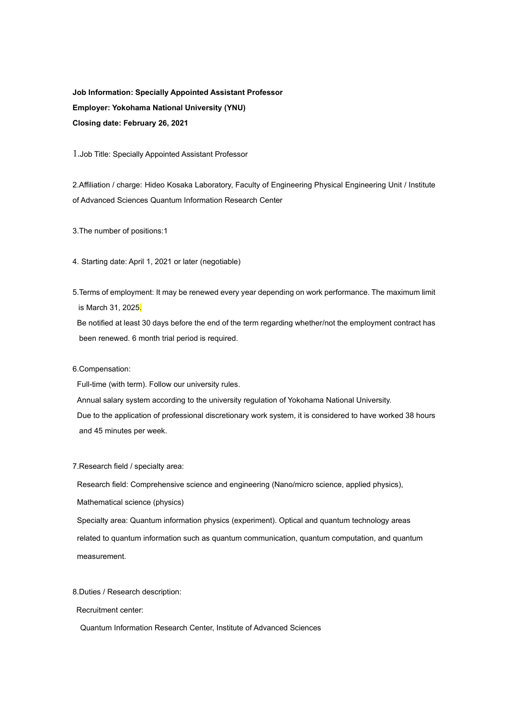# **Job Information: Specially Appointed Assistant Professor Employer: Yokohama National University (YNU) Closing date: February 26, 2021**

1.Job Title: Specially Appointed Assistant Professor

2.Affiliation / charge: Hideo Kosaka Laboratory, Faculty of Engineering Physical Engineering Unit / Institute of Advanced Sciences Quantum Information Research Center

3.The number of positions:1

4. Starting date: April 1, 2021 or later (negotiable)

5.Terms of employment: It may be renewed every year depending on work performance. The maximum limit is March 31, 2025.

Be notified at least 30 days before the end of the term regarding whether/not the employment contract has been renewed. 6 month trial period is required.

6.Compensation:

Full-time (with term). Follow our university rules.

Annual salary system according to the university regulation of Yokohama National University. Due to the application of professional discretionary work system, it is considered to have worked 38 hours and 45 minutes per week.

7.Research field / specialty area:

Research field: Comprehensive science and engineering (Nano/micro science, applied physics), Mathematical science (physics)

Specialty area: Quantum information physics (experiment). Optical and quantum technology areas related to quantum information such as quantum communication, quantum computation, and quantum measurement.

8.Duties / Research description:

Recruitment center:

Quantum Information Research Center, Institute of Advanced Sciences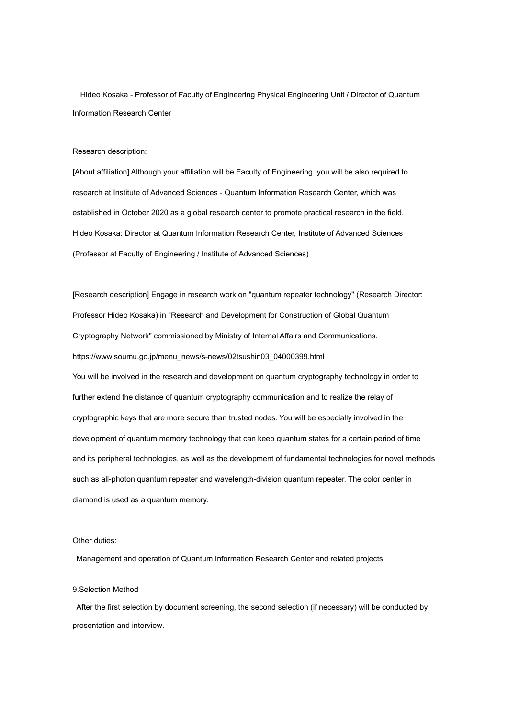Hideo Kosaka - Professor of Faculty of Engineering Physical Engineering Unit / Director of Quantum Information Research Center

### Research description:

[About affiliation] Although your affiliation will be Faculty of Engineering, you will be also required to research at Institute of Advanced Sciences - Quantum Information Research Center, which was established in October 2020 as a global research center to promote practical research in the field. Hideo Kosaka: Director at Quantum Information Research Center, Institute of Advanced Sciences (Professor at Faculty of Engineering / Institute of Advanced Sciences)

[Research description] Engage in research work on "quantum repeater technology" (Research Director: Professor Hideo Kosaka) in "Research and Development for Construction of Global Quantum Cryptography Network" commissioned by Ministry of Internal Affairs and Communications. https://www.soumu.go.jp/menu\_news/s-news/02tsushin03\_04000399.html You will be involved in the research and development on quantum cryptography technology in order to further extend the distance of quantum cryptography communication and to realize the relay of cryptographic keys that are more secure than trusted nodes. You will be especially involved in the development of quantum memory technology that can keep quantum states for a certain period of time and its peripheral technologies, as well as the development of fundamental technologies for novel methods such as all-photon quantum repeater and wavelength-division quantum repeater. The color center in diamond is used as a quantum memory.

## Other duties:

Management and operation of Quantum Information Research Center and related projects

### 9.Selection Method

After the first selection by document screening, the second selection (if necessary) will be conducted by presentation and interview.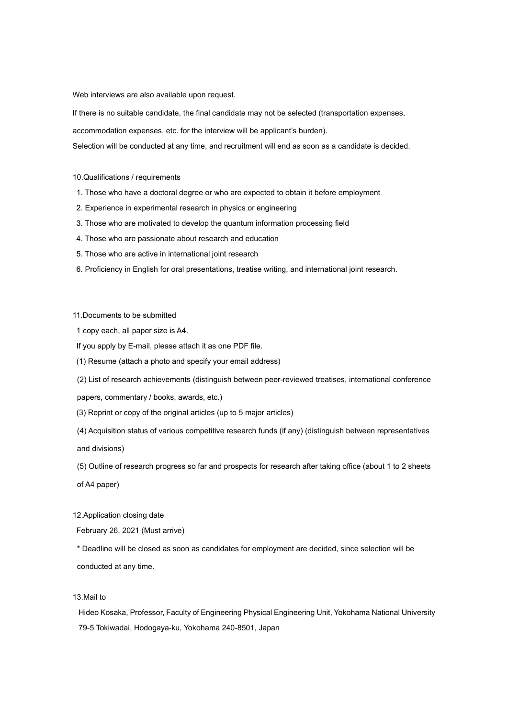Web interviews are also available upon request.

If there is no suitable candidate, the final candidate may not be selected (transportation expenses,

accommodation expenses, etc. for the interview will be applicant's burden).

Selection will be conducted at any time, and recruitment will end as soon as a candidate is decided.

10.Qualifications / requirements

- 1. Those who have a doctoral degree or who are expected to obtain it before employment
- 2. Experience in experimental research in physics or engineering
- 3. Those who are motivated to develop the quantum information processing field
- 4. Those who are passionate about research and education
- 5. Those who are active in international joint research
- 6. Proficiency in English for oral presentations, treatise writing, and international joint research.

11.Documents to be submitted

- 1 copy each, all paper size is A4.
- If you apply by E-mail, please attach it as one PDF file.
- (1) Resume (attach a photo and specify your email address)

(2) List of research achievements (distinguish between peer-reviewed treatises, international conference

papers, commentary / books, awards, etc.)

- (3) Reprint or copy of the original articles (up to 5 major articles)
- (4) Acquisition status of various competitive research funds (if any) (distinguish between representatives

and divisions)

(5) Outline of research progress so far and prospects for research after taking office (about 1 to 2 sheets

of A4 paper)

12.Application closing date

February 26, 2021 (Must arrive)

\* Deadline will be closed as soon as candidates for employment are decided, since selection will be conducted at any time.

## 13.Mail to

Hideo Kosaka, Professor, Faculty of Engineering Physical Engineering Unit, Yokohama National University 79-5 Tokiwadai, Hodogaya-ku, Yokohama 240-8501, Japan